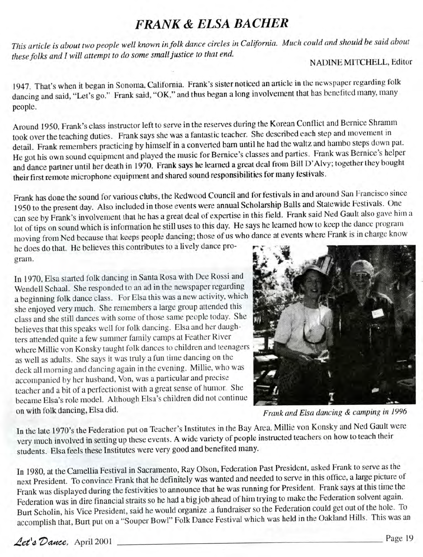## **FRANK & ELSA BACHER**

*This article is about two people well known in folk dance circles in California. Much could and should be said about these folks and I will attempt to do some small justice to that end.*

## N ADINE MITCHELL, Editor

1947. That's when it began in Sonoma, California. Frank's sister noticed an article in the newspaper regarding folk dancing and said, "Let's go." Frank said, "OK," and thus began a long involvement that has benefited many, many people.

Around 1950, Frank's class instructor left to serve in the reserves during the Korean Conflict and Bernice Shramm took over the teaching duties. Frank says she was a fantastic teacher. She described each step and movement in detail. Frank remembers practicing by himself in a converted bam until he had the waltz and hambo steps down pat. He got his own sound equipment and played the music for Bernice's classes and parties. Frank was Bernice's helper and dance partner until her death in 1970. Frank says he learned a great deal from Bill D'Alvy; together they bought their first remote microphone equipment and shared sound responsibilities for many festivals.

Frank has done the sound for various clubs, the Redwood Council and for festivals in and around San Francisco since 1950 to the present day. Also included in those events were annual Scholarship Balls and Statewide Festivals. One can see by Frank's involvement that he has a great deal of expertise in this field. Frank said Ned Gault also gave him a lot of tips on sound which is information he still uses to this day. He says he learned how to keep the dance program moving from Ned because that keeps people dancing; those of us who dance at events where Frank is in charge know

he does do that. He believes this contributes to a lively dance program.

In 1970, Elsa started folk dancing in Santa Rosa with Dee Rossi and Wendell Schaal. She responded to an ad in the newspaper regarding a beginning folk dance class. For Elsa this was a new activity, which she enjoyed very much. She remembers a large group attended this class and she still dances with some of those same people today. She believes that this speaks well for folk dancing. Elsa and her daughters attended quite a few summer family camps at Feather River where Millie von Konsky taught folk dances to children and teenagers as well as adults. She says it was truly a fun time dancing on the deck all morning and dancing again in the evening. Millie, who was accompanied by her husband, Von, was a particular and precise teacher and a bit of a perfectionist with a great sense of humor. She became Elsa's role model. Although Elsa's children did not continue on with folk dancing, Elsa did.



*Frank and Elsa dancing & camping in 1996*

In the late 1970's the Federation put on Teacher's Institutes in the Bay Area. Millie von Konsky and Ned Gault were very much involved in setting up these events. A wide variety of people instructed teachers on how to teach their students. Elsa feels these Institutes were very good and benefited many.

In 1980, at the Camellia Festival in Sacramento, Ray Olson, Federation Past President, asked Frank to serve as the next President. To convince Frank that he definitely was wanted and needed to serve in this office, a large picture of Frank was displayed during the festivities to announce that he was running for President. Frank says at this time the Federation was in dire financial straits so he had a big job ahead of him trying to make the Federation solvent again. Burt Scholin, his Vice President, said he would organize .a fundraiser so the Federation could get out of the hole. To accomplish that, Burt put on a "Souper Bowl" Folk Dance Festival which was held in the Oakland Hills. This was an